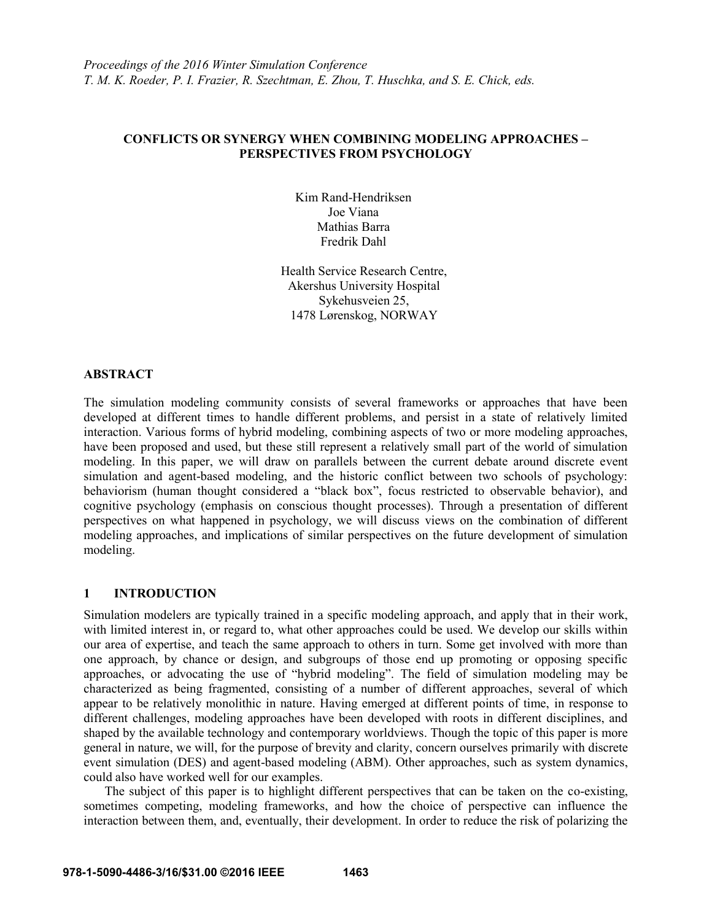# **CONFLICTS OR SYNERGY WHEN COMBINING MODELING APPROACHES – PERSPECTIVES FROM PSYCHOLOGY**

Kim Rand-Hendriksen Joe Viana Mathias Barra Fredrik Dahl

Health Service Research Centre, Akershus University Hospital Sykehusveien 25, 1478 Lørenskog, NORWAY

### **ABSTRACT**

The simulation modeling community consists of several frameworks or approaches that have been developed at different times to handle different problems, and persist in a state of relatively limited interaction. Various forms of hybrid modeling, combining aspects of two or more modeling approaches, have been proposed and used, but these still represent a relatively small part of the world of simulation modeling. In this paper, we will draw on parallels between the current debate around discrete event simulation and agent-based modeling, and the historic conflict between two schools of psychology: behaviorism (human thought considered a "black box", focus restricted to observable behavior), and cognitive psychology (emphasis on conscious thought processes). Through a presentation of different perspectives on what happened in psychology, we will discuss views on the combination of different modeling approaches, and implications of similar perspectives on the future development of simulation modeling.

### **1 INTRODUCTION**

Simulation modelers are typically trained in a specific modeling approach, and apply that in their work, with limited interest in, or regard to, what other approaches could be used. We develop our skills within our area of expertise, and teach the same approach to others in turn. Some get involved with more than one approach, by chance or design, and subgroups of those end up promoting or opposing specific approaches, or advocating the use of "hybrid modeling". The field of simulation modeling may be characterized as being fragmented, consisting of a number of different approaches, several of which appear to be relatively monolithic in nature. Having emerged at different points of time, in response to different challenges, modeling approaches have been developed with roots in different disciplines, and shaped by the available technology and contemporary worldviews. Though the topic of this paper is more general in nature, we will, for the purpose of brevity and clarity, concern ourselves primarily with discrete event simulation (DES) and agent-based modeling (ABM). Other approaches, such as system dynamics, could also have worked well for our examples.

The subject of this paper is to highlight different perspectives that can be taken on the co-existing, sometimes competing, modeling frameworks, and how the choice of perspective can influence the interaction between them, and, eventually, their development. In order to reduce the risk of polarizing the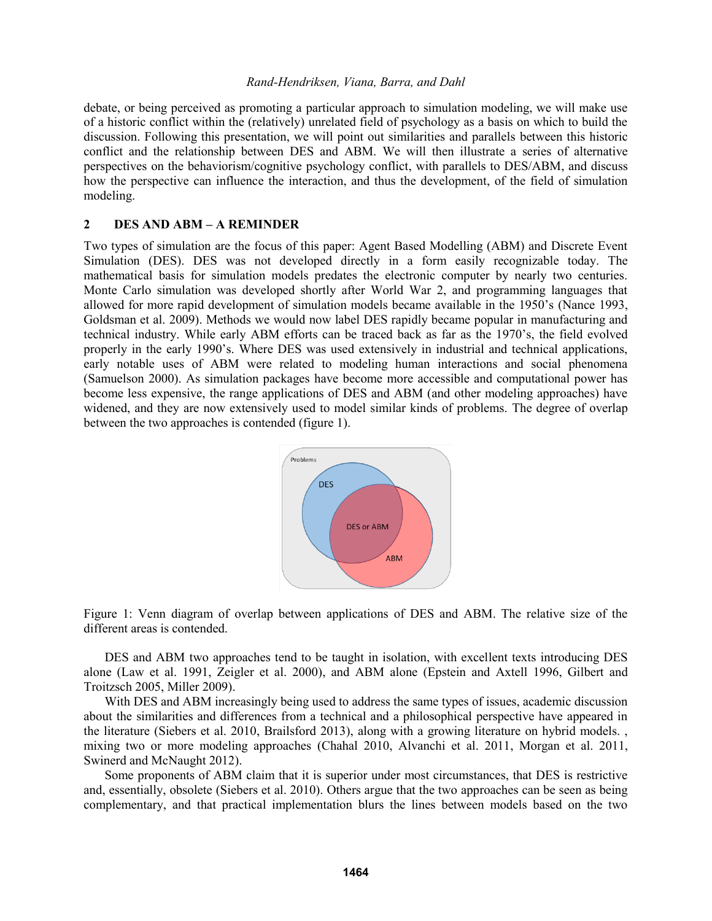debate, or being perceived as promoting a particular approach to simulation modeling, we will make use of a historic conflict within the (relatively) unrelated field of psychology as a basis on which to build the discussion. Following this presentation, we will point out similarities and parallels between this historic conflict and the relationship between DES and ABM. We will then illustrate a series of alternative perspectives on the behaviorism/cognitive psychology conflict, with parallels to DES/ABM, and discuss how the perspective can influence the interaction, and thus the development, of the field of simulation modeling.

### **2 DES AND ABM – A REMINDER**

Two types of simulation are the focus of this paper: Agent Based Modelling (ABM) and Discrete Event Simulation (DES). DES was not developed directly in a form easily recognizable today. The mathematical basis for simulation models predates the electronic computer by nearly two centuries. Monte Carlo simulation was developed shortly after World War 2, and programming languages that allowed for more rapid development of simulation models became available in the 1950's (Nance 1993, Goldsman et al. 2009). Methods we would now label DES rapidly became popular in manufacturing and technical industry. While early ABM efforts can be traced back as far as the 1970's, the field evolved properly in the early 1990's. Where DES was used extensively in industrial and technical applications, early notable uses of ABM were related to modeling human interactions and social phenomena (Samuelson 2000). As simulation packages have become more accessible and computational power has become less expensive, the range applications of DES and ABM (and other modeling approaches) have widened, and they are now extensively used to model similar kinds of problems. The degree of overlap between the two approaches is contended (figure 1).



Figure 1: Venn diagram of overlap between applications of DES and ABM. The relative size of the different areas is contended.

DES and ABM two approaches tend to be taught in isolation, with excellent texts introducing DES alone (Law et al. 1991, Zeigler et al. 2000), and ABM alone (Epstein and Axtell 1996, Gilbert and Troitzsch 2005, Miller 2009).

With DES and ABM increasingly being used to address the same types of issues, academic discussion about the similarities and differences from a technical and a philosophical perspective have appeared in the literature (Siebers et al. 2010, Brailsford 2013), along with a growing literature on hybrid models. , mixing two or more modeling approaches (Chahal 2010, Alvanchi et al. 2011, Morgan et al. 2011, Swinerd and McNaught 2012).

Some proponents of ABM claim that it is superior under most circumstances, that DES is restrictive and, essentially, obsolete (Siebers et al. 2010). Others argue that the two approaches can be seen as being complementary, and that practical implementation blurs the lines between models based on the two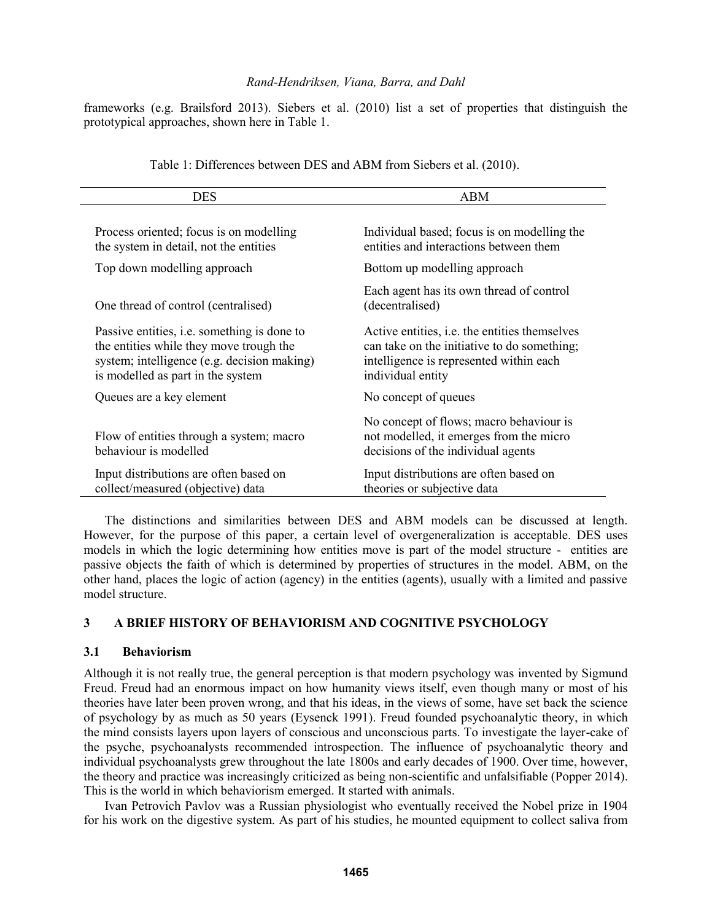frameworks (e.g. Brailsford 2013). Siebers et al. (2010) list a set of properties that distinguish the prototypical approaches, shown here in Table 1.

| <b>DES</b>                                                                                                                                                                        | ABM                                                                                                                                                                 |
|-----------------------------------------------------------------------------------------------------------------------------------------------------------------------------------|---------------------------------------------------------------------------------------------------------------------------------------------------------------------|
| Process oriented; focus is on modelling<br>the system in detail, not the entities                                                                                                 | Individual based; focus is on modelling the<br>entities and interactions between them                                                                               |
| Top down modelling approach                                                                                                                                                       | Bottom up modelling approach                                                                                                                                        |
| One thread of control (centralised)                                                                                                                                               | Each agent has its own thread of control<br>(decentralised)                                                                                                         |
| Passive entities, <i>i.e.</i> something is done to<br>the entities while they move trough the<br>system; intelligence (e.g. decision making)<br>is modelled as part in the system | Active entities, <i>i.e.</i> the entities themselves<br>can take on the initiative to do something;<br>intelligence is represented within each<br>individual entity |
| Queues are a key element                                                                                                                                                          | No concept of queues                                                                                                                                                |
| Flow of entities through a system; macro<br>behaviour is modelled                                                                                                                 | No concept of flows; macro behaviour is<br>not modelled, it emerges from the micro<br>decisions of the individual agents                                            |
| Input distributions are often based on<br>collect/measured (objective) data                                                                                                       | Input distributions are often based on<br>theories or subjective data                                                                                               |

Table 1: Differences between DES and ABM from Siebers et al. (2010).

The distinctions and similarities between DES and ABM models can be discussed at length. However, for the purpose of this paper, a certain level of overgeneralization is acceptable. DES uses models in which the logic determining how entities move is part of the model structure - entities are passive objects the faith of which is determined by properties of structures in the model. ABM, on the other hand, places the logic of action (agency) in the entities (agents), usually with a limited and passive model structure.

# **3 A BRIEF HISTORY OF BEHAVIORISM AND COGNITIVE PSYCHOLOGY**

### **3.1 Behaviorism**

Although it is not really true, the general perception is that modern psychology was invented by Sigmund Freud. Freud had an enormous impact on how humanity views itself, even though many or most of his theories have later been proven wrong, and that his ideas, in the views of some, have set back the science of psychology by as much as 50 years (Eysenck 1991). Freud founded psychoanalytic theory, in which the mind consists layers upon layers of conscious and unconscious parts. To investigate the layer-cake of the psyche, psychoanalysts recommended introspection. The influence of psychoanalytic theory and individual psychoanalysts grew throughout the late 1800s and early decades of 1900. Over time, however, the theory and practice was increasingly criticized as being non-scientific and unfalsifiable (Popper 2014). This is the world in which behaviorism emerged. It started with animals.

Ivan Petrovich Pavlov was a Russian physiologist who eventually received the Nobel prize in 1904 for his work on the digestive system. As part of his studies, he mounted equipment to collect saliva from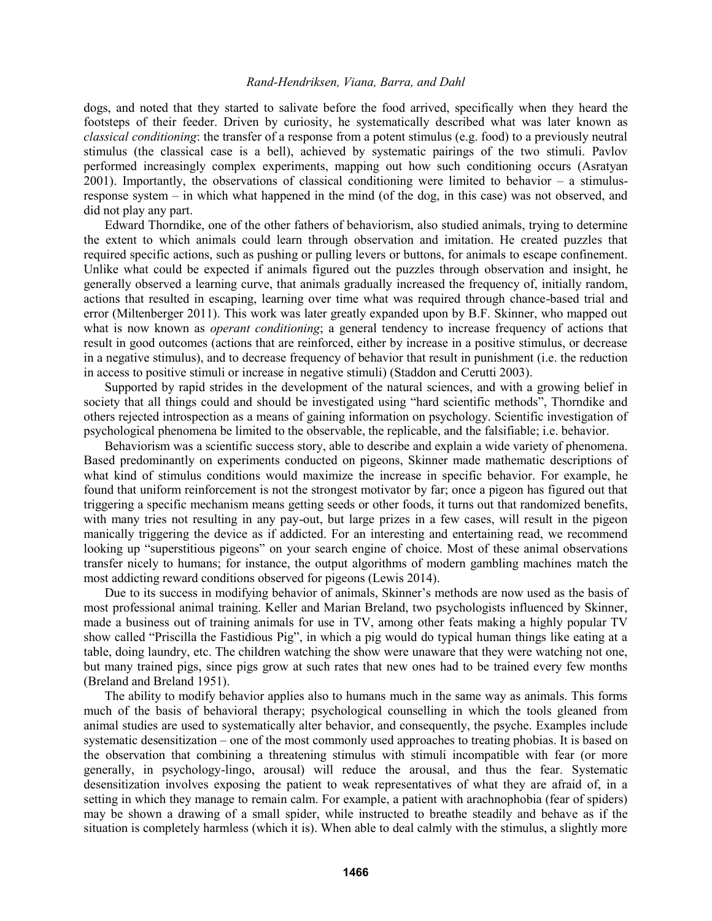dogs, and noted that they started to salivate before the food arrived, specifically when they heard the footsteps of their feeder. Driven by curiosity, he systematically described what was later known as *classical conditioning*: the transfer of a response from a potent stimulus (e.g. food) to a previously neutral stimulus (the classical case is a bell), achieved by systematic pairings of the two stimuli. Pavlov performed increasingly complex experiments, mapping out how such conditioning occurs (Asratyan  $2001$ ). Importantly, the observations of classical conditioning were limited to behavior – a stimulusresponse system – in which what happened in the mind (of the dog, in this case) was not observed, and did not play any part.

Edward Thorndike, one of the other fathers of behaviorism, also studied animals, trying to determine the extent to which animals could learn through observation and imitation. He created puzzles that required specific actions, such as pushing or pulling levers or buttons, for animals to escape confinement. Unlike what could be expected if animals figured out the puzzles through observation and insight, he generally observed a learning curve, that animals gradually increased the frequency of, initially random, actions that resulted in escaping, learning over time what was required through chance-based trial and error (Miltenberger 2011). This work was later greatly expanded upon by B.F. Skinner, who mapped out what is now known as *operant conditioning*; a general tendency to increase frequency of actions that result in good outcomes (actions that are reinforced, either by increase in a positive stimulus, or decrease in a negative stimulus), and to decrease frequency of behavior that result in punishment (i.e. the reduction in access to positive stimuli or increase in negative stimuli) (Staddon and Cerutti 2003).

Supported by rapid strides in the development of the natural sciences, and with a growing belief in society that all things could and should be investigated using "hard scientific methods", Thorndike and others rejected introspection as a means of gaining information on psychology. Scientific investigation of psychological phenomena be limited to the observable, the replicable, and the falsifiable; i.e. behavior.

Behaviorism was a scientific success story, able to describe and explain a wide variety of phenomena. Based predominantly on experiments conducted on pigeons, Skinner made mathematic descriptions of what kind of stimulus conditions would maximize the increase in specific behavior. For example, he found that uniform reinforcement is not the strongest motivator by far; once a pigeon has figured out that triggering a specific mechanism means getting seeds or other foods, it turns out that randomized benefits, with many tries not resulting in any pay-out, but large prizes in a few cases, will result in the pigeon manically triggering the device as if addicted. For an interesting and entertaining read, we recommend looking up "superstitious pigeons" on your search engine of choice. Most of these animal observations transfer nicely to humans; for instance, the output algorithms of modern gambling machines match the most addicting reward conditions observed for pigeons (Lewis 2014).

Due to its success in modifying behavior of animals, Skinner's methods are now used as the basis of most professional animal training. Keller and Marian Breland, two psychologists influenced by Skinner, made a business out of training animals for use in TV, among other feats making a highly popular TV show called "Priscilla the Fastidious Pig", in which a pig would do typical human things like eating at a table, doing laundry, etc. The children watching the show were unaware that they were watching not one, but many trained pigs, since pigs grow at such rates that new ones had to be trained every few months (Breland and Breland 1951).

The ability to modify behavior applies also to humans much in the same way as animals. This forms much of the basis of behavioral therapy; psychological counselling in which the tools gleaned from animal studies are used to systematically alter behavior, and consequently, the psyche. Examples include systematic desensitization – one of the most commonly used approaches to treating phobias. It is based on the observation that combining a threatening stimulus with stimuli incompatible with fear (or more generally, in psychology-lingo, arousal) will reduce the arousal, and thus the fear. Systematic desensitization involves exposing the patient to weak representatives of what they are afraid of, in a setting in which they manage to remain calm. For example, a patient with arachnophobia (fear of spiders) may be shown a drawing of a small spider, while instructed to breathe steadily and behave as if the situation is completely harmless (which it is). When able to deal calmly with the stimulus, a slightly more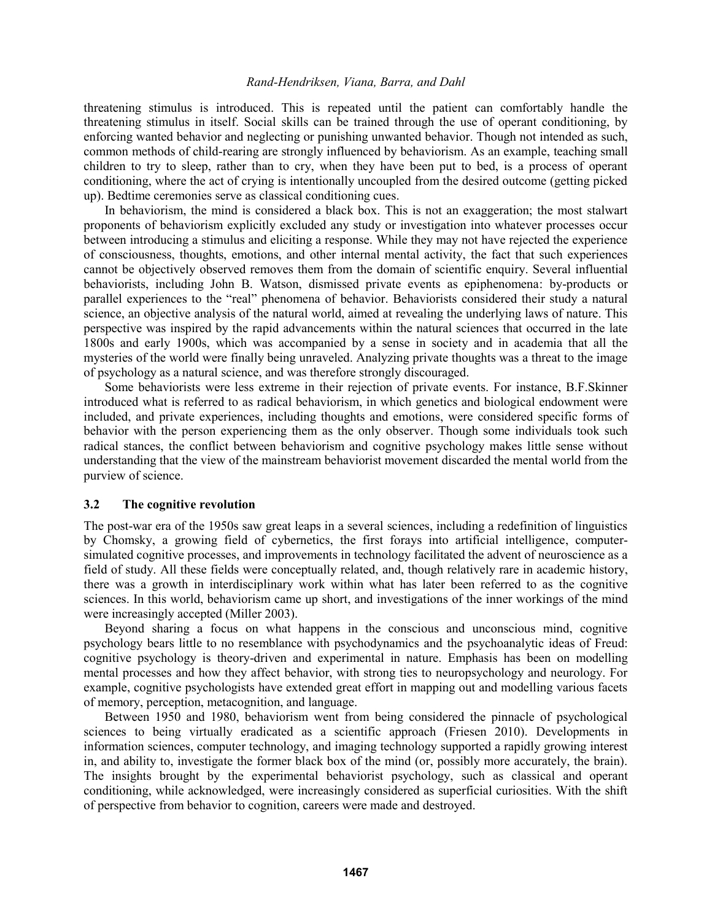threatening stimulus is introduced. This is repeated until the patient can comfortably handle the threatening stimulus in itself. Social skills can be trained through the use of operant conditioning, by enforcing wanted behavior and neglecting or punishing unwanted behavior. Though not intended as such, common methods of child-rearing are strongly influenced by behaviorism. As an example, teaching small children to try to sleep, rather than to cry, when they have been put to bed, is a process of operant conditioning, where the act of crying is intentionally uncoupled from the desired outcome (getting picked up). Bedtime ceremonies serve as classical conditioning cues.

In behaviorism, the mind is considered a black box. This is not an exaggeration; the most stalwart proponents of behaviorism explicitly excluded any study or investigation into whatever processes occur between introducing a stimulus and eliciting a response. While they may not have rejected the experience of consciousness, thoughts, emotions, and other internal mental activity, the fact that such experiences cannot be objectively observed removes them from the domain of scientific enquiry. Several influential behaviorists, including John B. Watson, dismissed private events as epiphenomena: by-products or parallel experiences to the "real" phenomena of behavior. Behaviorists considered their study a natural science, an objective analysis of the natural world, aimed at revealing the underlying laws of nature. This perspective was inspired by the rapid advancements within the natural sciences that occurred in the late 1800s and early 1900s, which was accompanied by a sense in society and in academia that all the mysteries of the world were finally being unraveled. Analyzing private thoughts was a threat to the image of psychology as a natural science, and was therefore strongly discouraged.

Some behaviorists were less extreme in their rejection of private events. For instance, B.F.Skinner introduced what is referred to as radical behaviorism, in which genetics and biological endowment were included, and private experiences, including thoughts and emotions, were considered specific forms of behavior with the person experiencing them as the only observer. Though some individuals took such radical stances, the conflict between behaviorism and cognitive psychology makes little sense without understanding that the view of the mainstream behaviorist movement discarded the mental world from the purview of science.

### **3.2 The cognitive revolution**

The post-war era of the 1950s saw great leaps in a several sciences, including a redefinition of linguistics by Chomsky, a growing field of cybernetics, the first forays into artificial intelligence, computersimulated cognitive processes, and improvements in technology facilitated the advent of neuroscience as a field of study. All these fields were conceptually related, and, though relatively rare in academic history, there was a growth in interdisciplinary work within what has later been referred to as the cognitive sciences. In this world, behaviorism came up short, and investigations of the inner workings of the mind were increasingly accepted (Miller 2003).

Beyond sharing a focus on what happens in the conscious and unconscious mind, cognitive psychology bears little to no resemblance with psychodynamics and the psychoanalytic ideas of Freud: cognitive psychology is theory-driven and experimental in nature. Emphasis has been on modelling mental processes and how they affect behavior, with strong ties to neuropsychology and neurology. For example, cognitive psychologists have extended great effort in mapping out and modelling various facets of memory, perception, metacognition, and language.

Between 1950 and 1980, behaviorism went from being considered the pinnacle of psychological sciences to being virtually eradicated as a scientific approach (Friesen 2010). Developments in information sciences, computer technology, and imaging technology supported a rapidly growing interest in, and ability to, investigate the former black box of the mind (or, possibly more accurately, the brain). The insights brought by the experimental behaviorist psychology, such as classical and operant conditioning, while acknowledged, were increasingly considered as superficial curiosities. With the shift of perspective from behavior to cognition, careers were made and destroyed.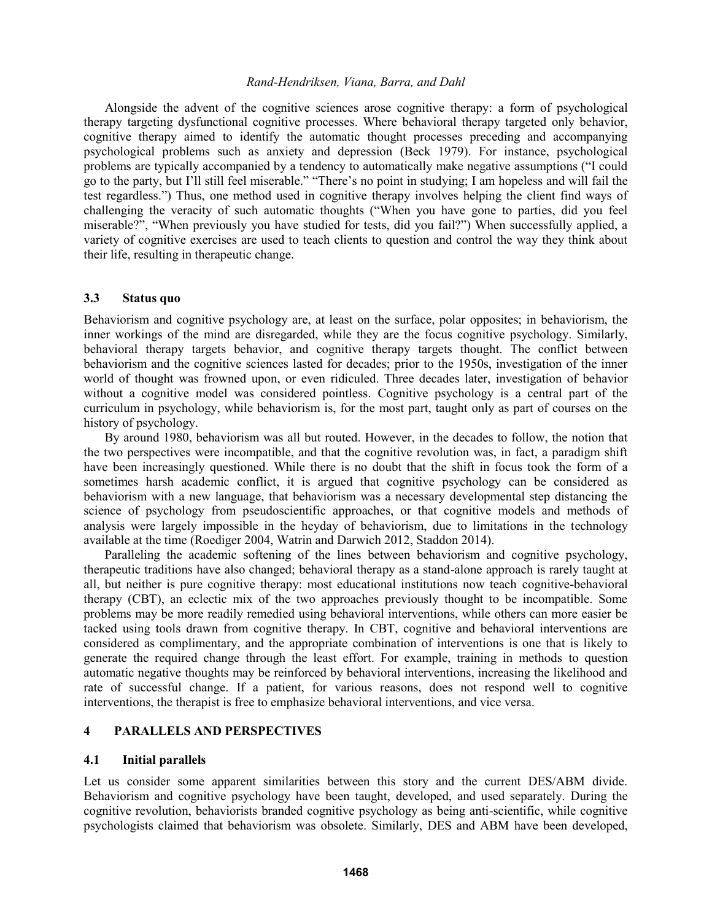Alongside the advent of the cognitive sciences arose cognitive therapy: a form of psychological therapy targeting dysfunctional cognitive processes. Where behavioral therapy targeted only behavior, cognitive therapy aimed to identify the automatic thought processes preceding and accompanying psychological problems such as anxiety and depression (Beck 1979). For instance, psychological problems are typically accompanied by a tendency to automatically make negative assumptions ("I could go to the party, but I'll still feel miserable." "There's no point in studying; I am hopeless and will fail the test regardless.") Thus, one method used in cognitive therapy involves helping the client find ways of challenging the veracity of such automatic thoughts ("When you have gone to parties, did you feel miserable?", "When previously you have studied for tests, did you fail?") When successfully applied, a variety of cognitive exercises are used to teach clients to question and control the way they think about their life, resulting in therapeutic change.

#### **3.3 Status quo**

Behaviorism and cognitive psychology are, at least on the surface, polar opposites; in behaviorism, the inner workings of the mind are disregarded, while they are the focus cognitive psychology. Similarly, behavioral therapy targets behavior, and cognitive therapy targets thought. The conflict between behaviorism and the cognitive sciences lasted for decades; prior to the 1950s, investigation of the inner world of thought was frowned upon, or even ridiculed. Three decades later, investigation of behavior without a cognitive model was considered pointless. Cognitive psychology is a central part of the curriculum in psychology, while behaviorism is, for the most part, taught only as part of courses on the history of psychology.

By around 1980, behaviorism was all but routed. However, in the decades to follow, the notion that the two perspectives were incompatible, and that the cognitive revolution was, in fact, a paradigm shift have been increasingly questioned. While there is no doubt that the shift in focus took the form of a sometimes harsh academic conflict, it is argued that cognitive psychology can be considered as behaviorism with a new language, that behaviorism was a necessary developmental step distancing the science of psychology from pseudoscientific approaches, or that cognitive models and methods of analysis were largely impossible in the heyday of behaviorism, due to limitations in the technology available at the time (Roediger 2004, Watrin and Darwich 2012, Staddon 2014).

Paralleling the academic softening of the lines between behaviorism and cognitive psychology, therapeutic traditions have also changed; behavioral therapy as a stand-alone approach is rarely taught at all, but neither is pure cognitive therapy: most educational institutions now teach cognitive-behavioral therapy (CBT), an eclectic mix of the two approaches previously thought to be incompatible. Some problems may be more readily remedied using behavioral interventions, while others can more easier be tacked using tools drawn from cognitive therapy. In CBT, cognitive and behavioral interventions are considered as complimentary, and the appropriate combination of interventions is one that is likely to generate the required change through the least effort. For example, training in methods to question automatic negative thoughts may be reinforced by behavioral interventions, increasing the likelihood and rate of successful change. If a patient, for various reasons, does not respond well to cognitive interventions, the therapist is free to emphasize behavioral interventions, and vice versa.

### **4 PARALLELS AND PERSPECTIVES**

#### **4.1 Initial parallels**

Let us consider some apparent similarities between this story and the current DES/ABM divide. Behaviorism and cognitive psychology have been taught, developed, and used separately. During the cognitive revolution, behaviorists branded cognitive psychology as being anti-scientific, while cognitive psychologists claimed that behaviorism was obsolete. Similarly, DES and ABM have been developed,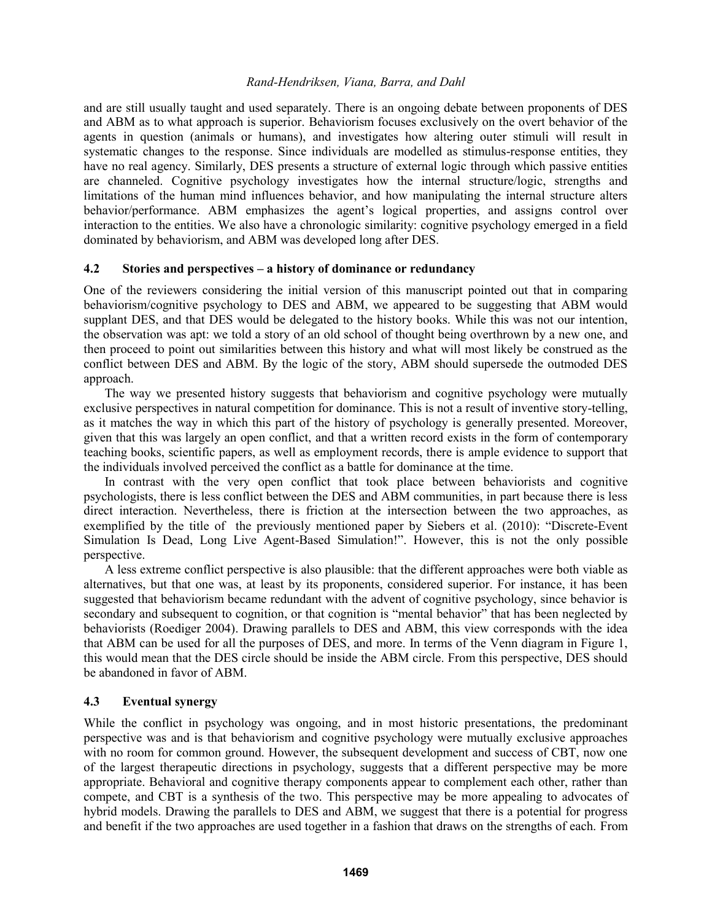and are still usually taught and used separately. There is an ongoing debate between proponents of DES and ABM as to what approach is superior. Behaviorism focuses exclusively on the overt behavior of the agents in question (animals or humans), and investigates how altering outer stimuli will result in systematic changes to the response. Since individuals are modelled as stimulus-response entities, they have no real agency. Similarly, DES presents a structure of external logic through which passive entities are channeled. Cognitive psychology investigates how the internal structure/logic, strengths and limitations of the human mind influences behavior, and how manipulating the internal structure alters behavior/performance. ABM emphasizes the agent's logical properties, and assigns control over interaction to the entities. We also have a chronologic similarity: cognitive psychology emerged in a field dominated by behaviorism, and ABM was developed long after DES.

### **4.2 Stories and perspectives – a history of dominance or redundancy**

One of the reviewers considering the initial version of this manuscript pointed out that in comparing behaviorism/cognitive psychology to DES and ABM, we appeared to be suggesting that ABM would supplant DES, and that DES would be delegated to the history books. While this was not our intention, the observation was apt: we told a story of an old school of thought being overthrown by a new one, and then proceed to point out similarities between this history and what will most likely be construed as the conflict between DES and ABM. By the logic of the story, ABM should supersede the outmoded DES approach.

The way we presented history suggests that behaviorism and cognitive psychology were mutually exclusive perspectives in natural competition for dominance. This is not a result of inventive story-telling, as it matches the way in which this part of the history of psychology is generally presented. Moreover, given that this was largely an open conflict, and that a written record exists in the form of contemporary teaching books, scientific papers, as well as employment records, there is ample evidence to support that the individuals involved perceived the conflict as a battle for dominance at the time.

In contrast with the very open conflict that took place between behaviorists and cognitive psychologists, there is less conflict between the DES and ABM communities, in part because there is less direct interaction. Nevertheless, there is friction at the intersection between the two approaches, as exemplified by the title of the previously mentioned paper by Siebers et al. (2010): "Discrete-Event Simulation Is Dead, Long Live Agent-Based Simulation!". However, this is not the only possible perspective.

A less extreme conflict perspective is also plausible: that the different approaches were both viable as alternatives, but that one was, at least by its proponents, considered superior. For instance, it has been suggested that behaviorism became redundant with the advent of cognitive psychology, since behavior is secondary and subsequent to cognition, or that cognition is "mental behavior" that has been neglected by behaviorists (Roediger 2004). Drawing parallels to DES and ABM, this view corresponds with the idea that ABM can be used for all the purposes of DES, and more. In terms of the Venn diagram in Figure 1, this would mean that the DES circle should be inside the ABM circle. From this perspective, DES should be abandoned in favor of ABM.

# **4.3 Eventual synergy**

While the conflict in psychology was ongoing, and in most historic presentations, the predominant perspective was and is that behaviorism and cognitive psychology were mutually exclusive approaches with no room for common ground. However, the subsequent development and success of CBT, now one of the largest therapeutic directions in psychology, suggests that a different perspective may be more appropriate. Behavioral and cognitive therapy components appear to complement each other, rather than compete, and CBT is a synthesis of the two. This perspective may be more appealing to advocates of hybrid models. Drawing the parallels to DES and ABM, we suggest that there is a potential for progress and benefit if the two approaches are used together in a fashion that draws on the strengths of each. From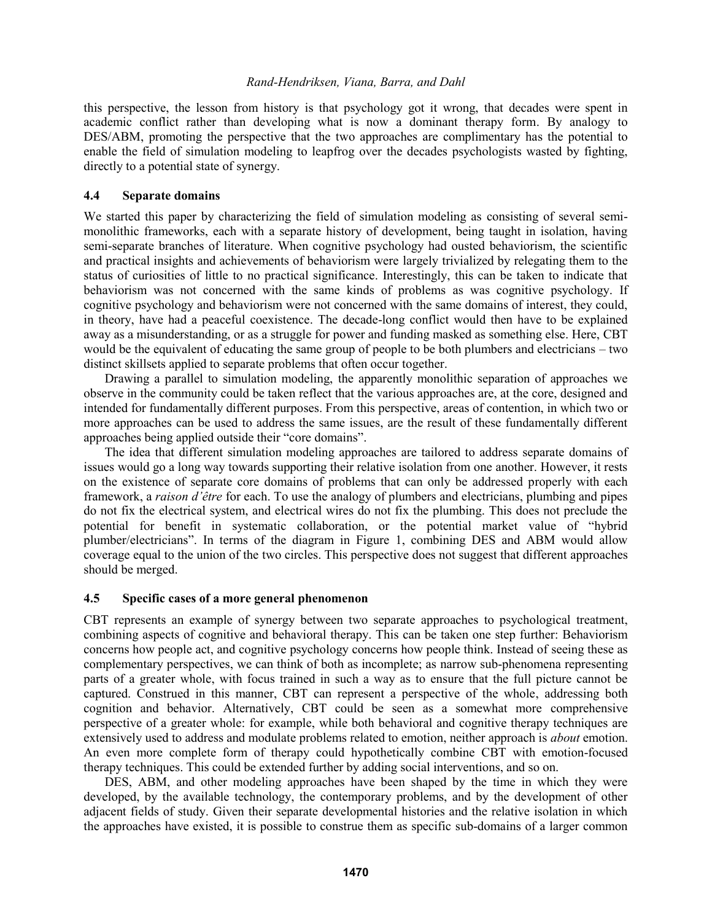this perspective, the lesson from history is that psychology got it wrong, that decades were spent in academic conflict rather than developing what is now a dominant therapy form. By analogy to DES/ABM, promoting the perspective that the two approaches are complimentary has the potential to enable the field of simulation modeling to leapfrog over the decades psychologists wasted by fighting, directly to a potential state of synergy.

# **4.4 Separate domains**

We started this paper by characterizing the field of simulation modeling as consisting of several semimonolithic frameworks, each with a separate history of development, being taught in isolation, having semi-separate branches of literature. When cognitive psychology had ousted behaviorism, the scientific and practical insights and achievements of behaviorism were largely trivialized by relegating them to the status of curiosities of little to no practical significance. Interestingly, this can be taken to indicate that behaviorism was not concerned with the same kinds of problems as was cognitive psychology. If cognitive psychology and behaviorism were not concerned with the same domains of interest, they could, in theory, have had a peaceful coexistence. The decade-long conflict would then have to be explained away as a misunderstanding, or as a struggle for power and funding masked as something else. Here, CBT would be the equivalent of educating the same group of people to be both plumbers and electricians – two distinct skillsets applied to separate problems that often occur together.

Drawing a parallel to simulation modeling, the apparently monolithic separation of approaches we observe in the community could be taken reflect that the various approaches are, at the core, designed and intended for fundamentally different purposes. From this perspective, areas of contention, in which two or more approaches can be used to address the same issues, are the result of these fundamentally different approaches being applied outside their "core domains".

The idea that different simulation modeling approaches are tailored to address separate domains of issues would go a long way towards supporting their relative isolation from one another. However, it rests on the existence of separate core domains of problems that can only be addressed properly with each framework, a *raison d'être* for each. To use the analogy of plumbers and electricians, plumbing and pipes do not fix the electrical system, and electrical wires do not fix the plumbing. This does not preclude the potential for benefit in systematic collaboration, or the potential market value of "hybrid plumber/electricians". In terms of the diagram in Figure 1, combining DES and ABM would allow coverage equal to the union of the two circles. This perspective does not suggest that different approaches should be merged.

# **4.5 Specific cases of a more general phenomenon**

CBT represents an example of synergy between two separate approaches to psychological treatment, combining aspects of cognitive and behavioral therapy. This can be taken one step further: Behaviorism concerns how people act, and cognitive psychology concerns how people think. Instead of seeing these as complementary perspectives, we can think of both as incomplete; as narrow sub-phenomena representing parts of a greater whole, with focus trained in such a way as to ensure that the full picture cannot be captured. Construed in this manner, CBT can represent a perspective of the whole, addressing both cognition and behavior. Alternatively, CBT could be seen as a somewhat more comprehensive perspective of a greater whole: for example, while both behavioral and cognitive therapy techniques are extensively used to address and modulate problems related to emotion, neither approach is *about* emotion. An even more complete form of therapy could hypothetically combine CBT with emotion-focused therapy techniques. This could be extended further by adding social interventions, and so on.

DES, ABM, and other modeling approaches have been shaped by the time in which they were developed, by the available technology, the contemporary problems, and by the development of other adjacent fields of study. Given their separate developmental histories and the relative isolation in which the approaches have existed, it is possible to construe them as specific sub-domains of a larger common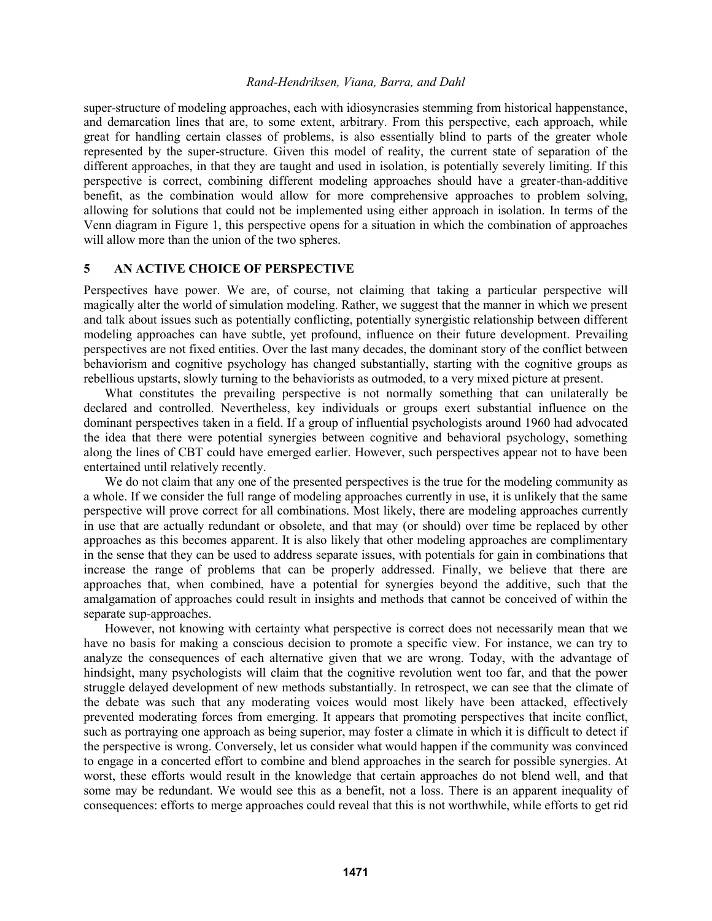super-structure of modeling approaches, each with idiosyncrasies stemming from historical happenstance, and demarcation lines that are, to some extent, arbitrary. From this perspective, each approach, while great for handling certain classes of problems, is also essentially blind to parts of the greater whole represented by the super-structure. Given this model of reality, the current state of separation of the different approaches, in that they are taught and used in isolation, is potentially severely limiting. If this perspective is correct, combining different modeling approaches should have a greater-than-additive benefit, as the combination would allow for more comprehensive approaches to problem solving, allowing for solutions that could not be implemented using either approach in isolation. In terms of the Venn diagram in Figure 1, this perspective opens for a situation in which the combination of approaches will allow more than the union of the two spheres.

# **5 AN ACTIVE CHOICE OF PERSPECTIVE**

Perspectives have power. We are, of course, not claiming that taking a particular perspective will magically alter the world of simulation modeling. Rather, we suggest that the manner in which we present and talk about issues such as potentially conflicting, potentially synergistic relationship between different modeling approaches can have subtle, yet profound, influence on their future development. Prevailing perspectives are not fixed entities. Over the last many decades, the dominant story of the conflict between behaviorism and cognitive psychology has changed substantially, starting with the cognitive groups as rebellious upstarts, slowly turning to the behaviorists as outmoded, to a very mixed picture at present.

What constitutes the prevailing perspective is not normally something that can unilaterally be declared and controlled. Nevertheless, key individuals or groups exert substantial influence on the dominant perspectives taken in a field. If a group of influential psychologists around 1960 had advocated the idea that there were potential synergies between cognitive and behavioral psychology, something along the lines of CBT could have emerged earlier. However, such perspectives appear not to have been entertained until relatively recently.

We do not claim that any one of the presented perspectives is the true for the modeling community as a whole. If we consider the full range of modeling approaches currently in use, it is unlikely that the same perspective will prove correct for all combinations. Most likely, there are modeling approaches currently in use that are actually redundant or obsolete, and that may (or should) over time be replaced by other approaches as this becomes apparent. It is also likely that other modeling approaches are complimentary in the sense that they can be used to address separate issues, with potentials for gain in combinations that increase the range of problems that can be properly addressed. Finally, we believe that there are approaches that, when combined, have a potential for synergies beyond the additive, such that the amalgamation of approaches could result in insights and methods that cannot be conceived of within the separate sup-approaches.

However, not knowing with certainty what perspective is correct does not necessarily mean that we have no basis for making a conscious decision to promote a specific view. For instance, we can try to analyze the consequences of each alternative given that we are wrong. Today, with the advantage of hindsight, many psychologists will claim that the cognitive revolution went too far, and that the power struggle delayed development of new methods substantially. In retrospect, we can see that the climate of the debate was such that any moderating voices would most likely have been attacked, effectively prevented moderating forces from emerging. It appears that promoting perspectives that incite conflict, such as portraying one approach as being superior, may foster a climate in which it is difficult to detect if the perspective is wrong. Conversely, let us consider what would happen if the community was convinced to engage in a concerted effort to combine and blend approaches in the search for possible synergies. At worst, these efforts would result in the knowledge that certain approaches do not blend well, and that some may be redundant. We would see this as a benefit, not a loss. There is an apparent inequality of consequences: efforts to merge approaches could reveal that this is not worthwhile, while efforts to get rid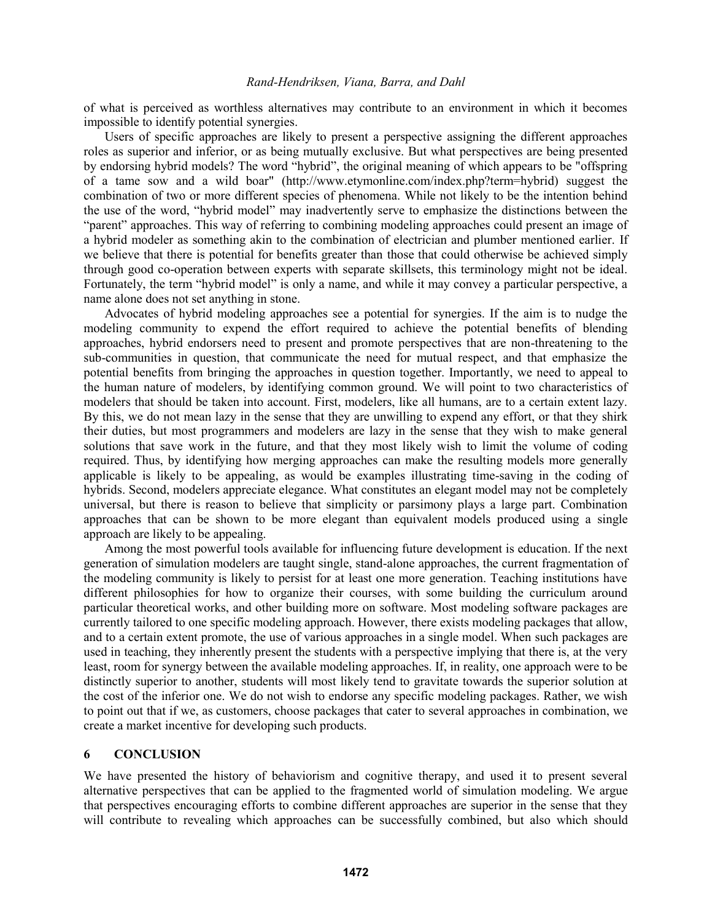of what is perceived as worthless alternatives may contribute to an environment in which it becomes impossible to identify potential synergies.

Users of specific approaches are likely to present a perspective assigning the different approaches roles as superior and inferior, or as being mutually exclusive. But what perspectives are being presented by endorsing hybrid models? The word "hybrid", the original meaning of which appears to be "offspring of a tame sow and a wild boar" (http://www.etymonline.com/index.php?term=hybrid) suggest the combination of two or more different species of phenomena. While not likely to be the intention behind the use of the word, "hybrid model" may inadvertently serve to emphasize the distinctions between the "parent" approaches. This way of referring to combining modeling approaches could present an image of a hybrid modeler as something akin to the combination of electrician and plumber mentioned earlier. If we believe that there is potential for benefits greater than those that could otherwise be achieved simply through good co-operation between experts with separate skillsets, this terminology might not be ideal. Fortunately, the term "hybrid model" is only a name, and while it may convey a particular perspective, a name alone does not set anything in stone.

Advocates of hybrid modeling approaches see a potential for synergies. If the aim is to nudge the modeling community to expend the effort required to achieve the potential benefits of blending approaches, hybrid endorsers need to present and promote perspectives that are non-threatening to the sub-communities in question, that communicate the need for mutual respect, and that emphasize the potential benefits from bringing the approaches in question together. Importantly, we need to appeal to the human nature of modelers, by identifying common ground. We will point to two characteristics of modelers that should be taken into account. First, modelers, like all humans, are to a certain extent lazy. By this, we do not mean lazy in the sense that they are unwilling to expend any effort, or that they shirk their duties, but most programmers and modelers are lazy in the sense that they wish to make general solutions that save work in the future, and that they most likely wish to limit the volume of coding required. Thus, by identifying how merging approaches can make the resulting models more generally applicable is likely to be appealing, as would be examples illustrating time-saving in the coding of hybrids. Second, modelers appreciate elegance. What constitutes an elegant model may not be completely universal, but there is reason to believe that simplicity or parsimony plays a large part. Combination approaches that can be shown to be more elegant than equivalent models produced using a single approach are likely to be appealing.

Among the most powerful tools available for influencing future development is education. If the next generation of simulation modelers are taught single, stand-alone approaches, the current fragmentation of the modeling community is likely to persist for at least one more generation. Teaching institutions have different philosophies for how to organize their courses, with some building the curriculum around particular theoretical works, and other building more on software. Most modeling software packages are currently tailored to one specific modeling approach. However, there exists modeling packages that allow, and to a certain extent promote, the use of various approaches in a single model. When such packages are used in teaching, they inherently present the students with a perspective implying that there is, at the very least, room for synergy between the available modeling approaches. If, in reality, one approach were to be distinctly superior to another, students will most likely tend to gravitate towards the superior solution at the cost of the inferior one. We do not wish to endorse any specific modeling packages. Rather, we wish to point out that if we, as customers, choose packages that cater to several approaches in combination, we create a market incentive for developing such products.

# **6 CONCLUSION**

We have presented the history of behaviorism and cognitive therapy, and used it to present several alternative perspectives that can be applied to the fragmented world of simulation modeling. We argue that perspectives encouraging efforts to combine different approaches are superior in the sense that they will contribute to revealing which approaches can be successfully combined, but also which should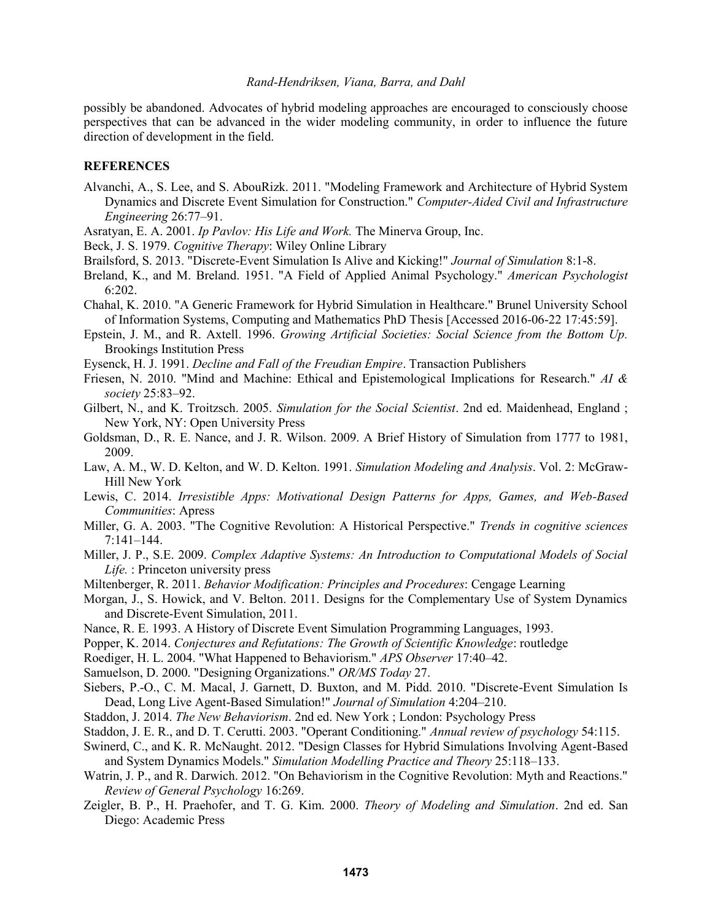possibly be abandoned. Advocates of hybrid modeling approaches are encouraged to consciously choose perspectives that can be advanced in the wider modeling community, in order to influence the future direction of development in the field.

# **REFERENCES**

- Alvanchi, A., S. Lee, and S. AbouRizk. 2011. "Modeling Framework and Architecture of Hybrid System Dynamics and Discrete Event Simulation for Construction." *Computer-Aided Civil and Infrastructure Engineering* 26:77–91.
- Asratyan, E. A. 2001. *Ip Pavlov: His Life and Work.* The Minerva Group, Inc.
- Beck, J. S. 1979. *Cognitive Therapy*: Wiley Online Library
- Brailsford, S. 2013. "Discrete-Event Simulation Is Alive and Kicking!" *Journal of Simulation* 8:1-8.
- Breland, K., and M. Breland. 1951. "A Field of Applied Animal Psychology." *American Psychologist*  $6:202.$
- Chahal, K. 2010. "A Generic Framework for Hybrid Simulation in Healthcare." Brunel University School of Information Systems, Computing and Mathematics PhD Thesis [Accessed 2016-06-22 17:45:59].
- Epstein, J. M., and R. Axtell. 1996. *Growing Artificial Societies: Social Science from the Bottom Up.* Brookings Institution Press
- Eysenck, H. J. 1991. *Decline and Fall of the Freudian Empire*. Transaction Publishers
- Friesen, N. 2010. "Mind and Machine: Ethical and Epistemological Implications for Research." *AI & society* 25:83–92.
- Gilbert, N., and K. Troitzsch. 2005. *Simulation for the Social Scientist*. 2nd ed. Maidenhead, England ; New York, NY: Open University Press
- Goldsman, D., R. E. Nance, and J. R. Wilson. 2009. A Brief History of Simulation from 1777 to 1981, 2009.
- Law, A. M., W. D. Kelton, and W. D. Kelton. 1991. *Simulation Modeling and Analysis*. Vol. 2: McGraw-Hill New York
- Lewis, C. 2014. *Irresistible Apps: Motivational Design Patterns for Apps, Games, and Web-Based Communities*: Apress
- Miller, G. A. 2003. "The Cognitive Revolution: A Historical Perspective." *Trends in cognitive sciences* 7:141–144.
- Miller, J. P., S.E. 2009. *Complex Adaptive Systems: An Introduction to Computational Models of Social Life.* : Princeton university press
- Miltenberger, R. 2011. *Behavior Modification: Principles and Procedures*: Cengage Learning
- Morgan, J., S. Howick, and V. Belton. 2011. Designs for the Complementary Use of System Dynamics and Discrete-Event Simulation, 2011.
- Nance, R. E. 1993. A History of Discrete Event Simulation Programming Languages, 1993.
- Popper, K. 2014. *Conjectures and Refutations: The Growth of Scientific Knowledge*: routledge
- Roediger, H. L. 2004. "What Happened to Behaviorism." *APS Observer* 17:40–42.
- Samuelson, D. 2000. "Designing Organizations." *OR/MS Today* 27.
- Siebers, P.-O., C. M. Macal, J. Garnett, D. Buxton, and M. Pidd. 2010. "Discrete-Event Simulation Is Dead, Long Live Agent-Based Simulation!" *Journal of Simulation* 4:204–210.
- Staddon, J. 2014. *The New Behaviorism*. 2nd ed. New York ; London: Psychology Press
- Staddon, J. E. R., and D. T. Cerutti. 2003. "Operant Conditioning." *Annual review of psychology* 54:115.
- Swinerd, C., and K. R. McNaught. 2012. "Design Classes for Hybrid Simulations Involving Agent-Based and System Dynamics Models." *Simulation Modelling Practice and Theory* 25:118–133.
- Watrin, J. P., and R. Darwich. 2012. "On Behaviorism in the Cognitive Revolution: Myth and Reactions." *Review of General Psychology* 16:269.
- Zeigler, B. P., H. Praehofer, and T. G. Kim. 2000. *Theory of Modeling and Simulation*. 2nd ed. San Diego: Academic Press